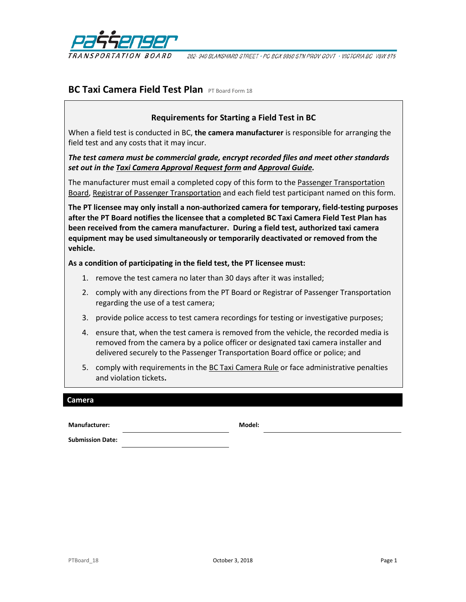

202-940 BLANSHARD STREET · PO BOX 9850 STN PROV GOVT · VICTORIA BC V8W 9T5

## **BC Taxi Camera Field Test Plan** PT Board Form 18

## **Requirements for Starting a Field Test in BC**

When a field test is conducted in BC, **the camera manufacturer** is responsible for arranging the field test and any costs that it may incur.

*The test camera must be commercial grade, encrypt recorded files and meet other standards set out in th[e Taxi Camera Approval Request form](http://www.th.gov.bc.ca/forms/getForm.aspx?formId=1420) and [Approval Guide.](http://www.th.gov.bc.ca/ptb/documents/taxicam-approval-guide.pdf)* 

The manufacturer must email a completed copy of this form to the Passenger Transportation [Board,](mailto:ptboard@gov.bc.ca) [Registrar of Passenger Transportation](mailto:passengertransportationbr@gov.bc.ca) and each field test participant named on this form.

**The PT licensee may only install a non-authorized camera for temporary, field-testing purposes after the PT Board notifies the licensee that a completed BC Taxi Camera Field Test Plan has been received from the camera manufacturer. During a field test, authorized taxi camera equipment may be used simultaneously or temporarily deactivated or removed from the vehicle.**

**As a condition of participating in the field test, the PT licensee must:**

- 1. remove the test camera no later than 30 days after it was installed;
- 2. comply with any directions from the PT Board or Registrar of Passenger Transportation regarding the use of a test camera;
- 3. provide police access to test camera recordings for testing or investigative purposes;
- 4. ensure that, when the test camera is removed from the vehicle, the recorded media is removed from the camera by a police officer or designated taxi camera installer and delivered securely to the Passenger Transportation Board office or police; and
- 5. comply with requirements in the **BC Taxi Camera Rule** or face administrative penalties and violation tickets**.**

#### **Camera**

**Manufacturer: Model:**

**Submission Date:**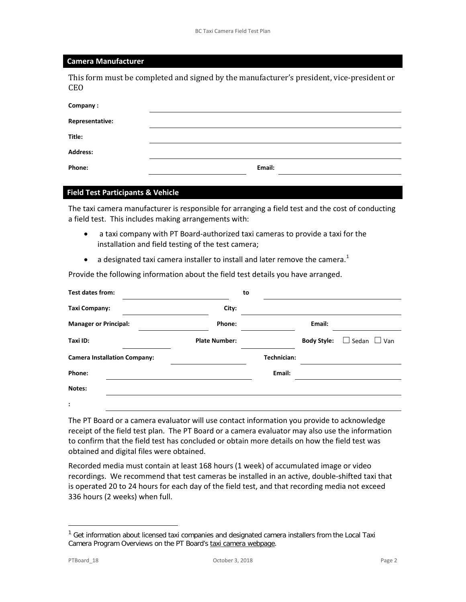#### **Camera Manufacturer**

This form must be completed and signed by the manufacturer's president, vice-president or CEO

| Company:        |        |
|-----------------|--------|
| Representative: |        |
| Title:          |        |
| <b>Address:</b> |        |
| Phone:          | Email: |

### **Field Test Participants & Vehicle**

The taxi camera manufacturer is responsible for arranging a field test and the cost of conducting a field test. This includes making arrangements with:

- a taxi company with PT Board-authorized taxi cameras to provide a taxi for the installation and field testing of the test camera;
- a designated taxi camera installer to install and later remove the camera.<sup>[1](#page-1-0)</sup>

Provide the following information about the field test details you have arranged.

| Test dates from:                    |                      | to          |                    |                         |
|-------------------------------------|----------------------|-------------|--------------------|-------------------------|
| <b>Taxi Company:</b>                | City:                |             |                    |                         |
| <b>Manager or Principal:</b>        | Phone:               |             | Email:             |                         |
| Taxi ID:                            | <b>Plate Number:</b> |             | <b>Body Style:</b> | $\Box$ Sedan $\Box$ Van |
| <b>Camera Installation Company:</b> |                      | Technician: |                    |                         |
| Phone:                              |                      | Email:      |                    |                         |
| Notes:                              |                      |             |                    |                         |
| $\ddot{\phantom{a}}$                |                      |             |                    |                         |

The PT Board or a camera evaluator will use contact information you provide to acknowledge receipt of the field test plan. The PT Board or a camera evaluator may also use the information to confirm that the field test has concluded or obtain more details on how the field test was obtained and digital files were obtained.

Recorded media must contain at least 168 hours (1 week) of accumulated image or video recordings. We recommend that test cameras be installed in an active, double-shifted taxi that is operated 20 to 24 hours for each day of the field test, and that recording media not exceed 336 hours (2 weeks) when full.

 $\overline{a}$ 

<span id="page-1-0"></span> $1$  Get information about licensed taxi companies and designated camera installers from the Local Taxi Camera Program Overviews on the PT Board's [taxi camera webpage.](http://www.ptboard.bc.ca/cameras.htm)